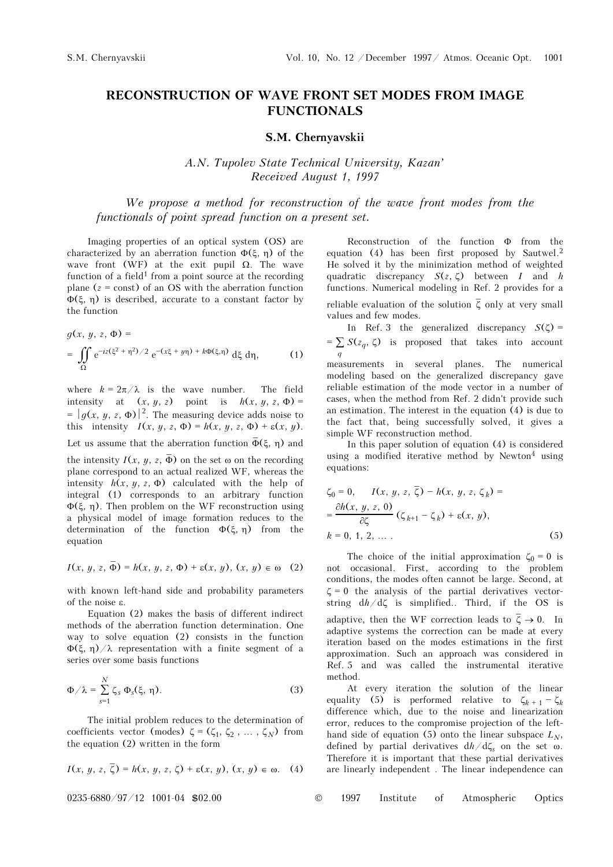## **RECONSTRUCTION OF WAVE FRONT SET MODES FROM IMAGE FUNCTIONALS**

## **S.M. Chernyavskii**

*A.N. Tupolev State Technical University, Kazan' Received August 1, 1997* 

*We propose a method for reconstruction of the wave front modes from the functionals of point spread function on a present set.* 

Imaging properties of an optical system (OS) are characterized by an aberration function  $Φ(ξ, η)$  of the wave front (WF) at the exit pupil  $\Omega$ . The wave function of a field<sup>1</sup> from a point source at the recording plane  $(z = const)$  of an OS with the aberration function Φ(ξ, η) is described, accurate to a constant factor by the function

$$
g(x, y, z, \Phi) =
$$
  
=  $\iint_{\Omega} e^{-iz(\xi^2 + \eta^2)/2} e^{-(x\xi + y\eta) + k\Phi(\xi, \eta)} d\xi d\eta,$  (1)

where  $k = 2\pi/\lambda$  is the wave number. The field intensity at  $(x, y, z)$  point is  $h(x, y, z, \Phi) =$  $= |g(x, y, z, \Phi)|^2$ . The measuring device adds noise to this intensity  $I(x, y, z, \Phi) = h(x, y, z, \Phi) + \varepsilon(x, y)$ . Let us assume that the aberration function  $\bar{\Phi}(\xi, \eta)$  and

the intensity  $I(x, y, z, \overline{\Phi})$  on the set  $\omega$  on the recording plane correspond to an actual realized WF, whereas the intensity  $h(x, y, z, \Phi)$  calculated with the help of integral (1) corresponds to an arbitrary function Φ(ξ, η). Then problem on the WF reconstruction using a physical model of image formation reduces to the determination of the function  $\Phi(\xi, \eta)$  from the equation

$$
I(x, y, z, \overline{\Phi}) = h(x, y, z, \Phi) + \varepsilon(x, y), (x, y) \in \omega
$$
 (2)

with known left-hand side and probability parameters of the noise ε.

Equation (2) makes the basis of different indirect methods of the aberration function determination. One way to solve equation (2) consists in the function  $\Phi(\xi, \eta)/\lambda$  representation with a finite segment of a series over some basis functions

$$
\Phi/\lambda = \sum_{s=1}^{N} \zeta_s \Phi_s(\xi, \eta). \tag{3}
$$

The initial problem reduces to the determination of coefficients vector (modes)  $\zeta = (\zeta_1, \zeta_2, \dots, \zeta_N)$  from the equation (2) written in the form

$$
I(x, y, z, \overline{\zeta}) = h(x, y, z, \zeta) + \varepsilon(x, y), (x, y) \in \omega. \quad (4)
$$

Reconstruction of the function Φ from the equation (4) has been first proposed by Sautwel.2 He solved it by the minimization method of weighted quadratic discrepancy *S*(*z*, ζ) between *I* and *h* functions. Numerical modeling in Ref. 2 provides for a reliable evaluation of the solution  $\bar{\zeta}$  only at very small values and few modes.

In Ref. 3 the generalized discrepancy  $S(\zeta)$  =  $= \sum S(z_q, \zeta)$  is proposed that takes into account *q* measurements in several planes. The numerical modeling based on the generalized discrepancy gave reliable estimation of the mode vector in a number of cases, when the method from Ref. 2 didn't provide such an estimation. The interest in the equation (4) is due to the fact that, being successfully solved, it gives a simple WF reconstruction method.

In this paper solution of equation (4) is considered using a modified iterative method by Newton<sup>4</sup> using equations:

$$
\zeta_0 = 0, \qquad I(x, y, z, \overline{\zeta}) - h(x, y, z, \zeta_k) =
$$
  
=  $\frac{\partial h(x, y, z, 0)}{\partial \zeta} (\zeta_{k+1} - \zeta_k) + \varepsilon(x, y),$   
 $k = 0, 1, 2, ...$  (5)

The choice of the initial approximation  $\zeta_0 = 0$  is not occasional. First, according to the problem conditions, the modes often cannot be large. Second, at  $\zeta = 0$  the analysis of the partial derivatives vectorstring d*h*/dζ is simplified.. Third, if the OS is adaptive, then the WF correction leads to  $\overline{\zeta} \to 0$ . In adaptive systems the correction can be made at every iteration based on the modes estimations in the first approximation. Such an approach was considered in Ref. 5 and was called the instrumental iterative method.

At every iteration the solution of the linear equality (5) is performed relative to  $\zeta_{k+1} - \zeta_k$ difference which, due to the noise and linearization error, reduces to the compromise projection of the lefthand side of equation (5) onto the linear subspace  $L_N$ , defined by partial derivatives d*h*/dζ*s* on the set ω. Therefore it is important that these partial derivatives are linearly independent . The linear independence can

0235-6880/97/12 1001-04 \$02.00 © 1997 Institute of Atmospheric Optics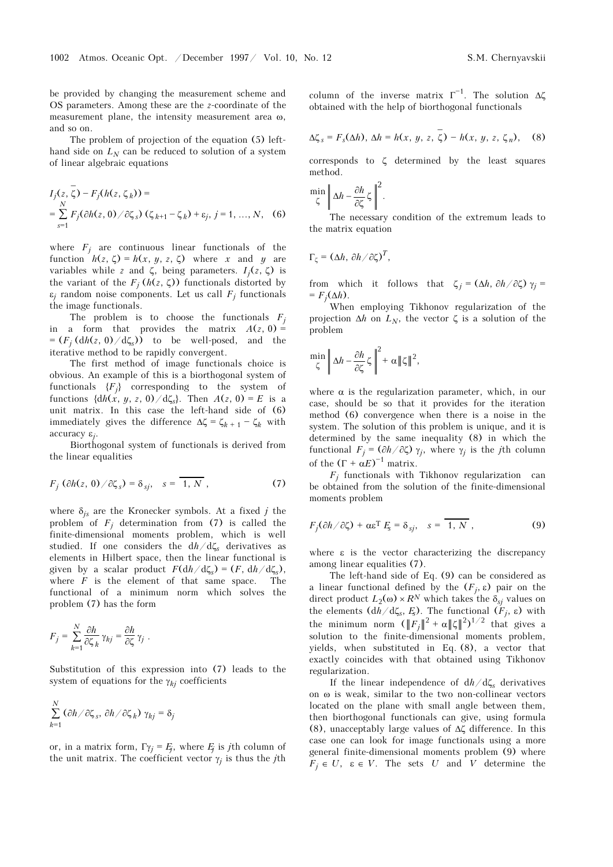be provided by changing the measurement scheme and OS parameters. Among these are the *z*-coordinate of the measurement plane, the intensity measurement area ω, and so on.

The problem of projection of the equation (5) lefthand side on  $L<sub>N</sub>$  can be reduced to solution of a system of linear algebraic equations

$$
I_j(z, \overline{\zeta}) - F_j(h(z, \zeta_k)) =
$$
  
=  $\sum_{s=1}^N F_j(\partial h(z, 0) / \partial \zeta_s) (\zeta_{k+1} - \zeta_k) + \varepsilon_j, j = 1, ..., N,$  (6)

where  $F_i$  are continuous linear functionals of the function  $h(z, \zeta) = h(x, y, z, \zeta)$  where *x* and *y* are variables while *z* and ζ, being parameters. *Ij*(*z*, ζ) is the variant of the  $F_j$  ( $h(z, \zeta)$ ) functionals distorted by  $\varepsilon_j$  random noise components. Let us call  $F_j$  functionals the image functionals.

The problem is to choose the functionals  $F_i$ in a form that provides the matrix  $A(z, 0) =$  $=(F_i (dh(z, 0) / d\zeta_s))$  to be well-posed, and the iterative method to be rapidly convergent.

The first method of image functionals choice is obvious. An example of this is a biorthogonal system of functionals  ${F_j}$  corresponding to the system of functions  $\{\frac{dh(x, y, z, 0)}{d\zeta_s}\}$ . Then  $A(z, 0) = E$  is a unit matrix. In this case the left-hand side of (6) immediately gives the difference  $\Delta \zeta = \zeta_{k+1} - \zeta_k$  with accuracy ε*j*.

Biorthogonal system of functionals is derived from the linear equalities

$$
F_j \left( \frac{\partial h(z, 0)}{\partial \zeta_s} \right) = \delta_{sj}, \quad s = \overline{1, N}, \tag{7}
$$

where δ*js* are the Kronecker symbols. At a fixed *j* the problem of  $F_j$  determination from (7) is called the finite-dimensional moments problem, which is well studied. If one considers the d*h*/dζ*s* derivatives as elements in Hilbert space, then the linear functional is given by a scalar product  $F(\frac{dh}{d\zeta_s}) = (F, \frac{dh}{d\zeta_s})$ , where *F* is the element of that same space. The functional of a minimum norm which solves the problem (7) has the form

$$
F_j = \sum_{k=1}^N \frac{\partial h}{\partial \zeta_k} \gamma_{kj} = \frac{\partial h}{\partial \zeta} \gamma_j.
$$

Substitution of this expression into (7) leads to the system of equations for the  $\gamma_{ki}$  coefficients

$$
\sum_{k=1}^N (\partial h/\partial \zeta_s, \partial h/\partial \zeta_k) \gamma_{kj} = \delta_j
$$

or, in a matrix form,  $\Gamma \gamma_i = E_i$ , where  $E_i$  is *j*th column of the unit matrix. The coefficient vector  $\gamma_i$  is thus the *j*th column of the inverse matrix  $\Gamma^{-1}$ . The solution  $\Delta \zeta$ obtained with the help of biorthogonal functionals

$$
\Delta \zeta_s = F_s(\Delta h), \Delta h = h(x, y, z, \overline{\zeta}) - h(x, y, z, \zeta_n), \quad (8)
$$

corresponds to ζ determined by the least squares method.

$$
\min_{\zeta} \left\| \Delta h - \frac{\partial h}{\partial \zeta} \zeta \right\|^2.
$$

The necessary condition of the extremum leads to the matrix equation

$$
\Gamma_{\zeta}=(\Delta h,\,\partial h/\partial \zeta)^T,
$$

from which it follows that  $\zeta_i = (\Delta h, \partial h / \partial \zeta) \gamma_i =$  $= F_i(\Delta h)$ .

When employing Tikhonov regularization of the projection  $\Delta h$  on  $L_N$ , the vector  $\zeta$  is a solution of the problem

$$
\min_{\zeta} \left\| \Delta h - \frac{\partial h}{\partial \zeta} \zeta \right\|^2 + \alpha \|\zeta\|^2,
$$

where  $\alpha$  is the regularization parameter, which, in our case, should be so that it provides for the iteration method (6) convergence when there is a noise in the system. The solution of this problem is unique, and it is determined by the same inequality (8) in which the functional *Fj* = (∂*h*/∂ζ) γ*j*, where γ*j* is the *j*th column of the  $(\Gamma + \alpha E)^{-1}$  matrix.

 $F_i$  functionals with Tikhonov regularization can be obtained from the solution of the finite-dimensional moments problem

$$
F_j(\partial h/\partial \zeta) + \alpha \varepsilon^{\mathrm{T}} F_s = \delta_{sj}, \quad s = \overline{1, N}, \tag{9}
$$

where ε is the vector characterizing the discrepancy among linear equalities (7).

The left-hand side of Eq. (9) can be considered as a linear functional defined by the  $(F_j, \varepsilon)$  pair on the direct product  $L_2(\omega) \times R^N$  which takes the  $\delta_{sj}$  values on the elements (d*h* / dζ<sub>*s*</sub>, *E*<sub>*s*</sub>). The functional (*F<sub>j</sub>*, *ε*) with the minimum norm  $(\Vert F_j \Vert^2 + \alpha \Vert \zeta \Vert^2)^{1/2}$  that gives a solution to the finite-dimensional moments problem, yields, when substituted in Eq. (8), a vector that exactly coincides with that obtained using Tikhonov regularization.

If the linear independence of d*h*/dζ*s* derivatives on ω is weak, similar to the two non-collinear vectors located on the plane with small angle between them, then biorthogonal functionals can give, using formula (8), unacceptably large values of Δζ difference. In this case one can look for image functionals using a more general finite-dimensional moments problem (9) where  $F_j \in U$ ,  $\varepsilon \in V$ . The sets *U* and *V* determine the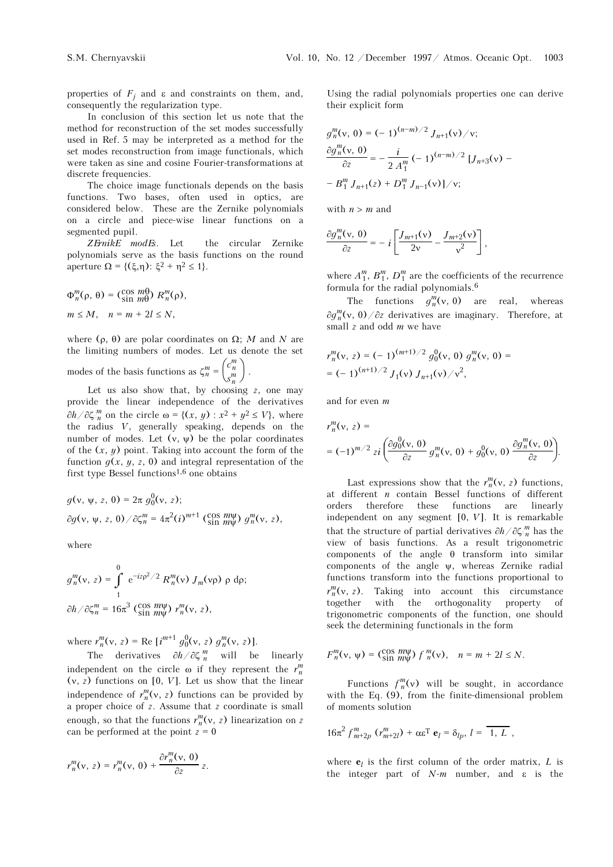properties of  $F_j$  and  $\varepsilon$  and constraints on them, and, consequently the regularization type.

In conclusion of this section let us note that the method for reconstruction of the set modes successfully used in Ref. 5 may be interpreted as a method for the set modes reconstruction from image functionals, which were taken as sine and cosine Fourier-transformations at discrete frequencies.

The choice image functionals depends on the basis functions. Two bases, often used in optics, are considered below. These are the Zernike polynomials on a circle and piece-wise linear functions on a segmented pupil.

*Zernike modes*. Let the circular Zernike polynomials serve as the basis functions on the round aperture  $\Omega = \{(\xi, \eta) : \xi^2 + \eta^2 \le 1\}.$ 

$$
\Phi_n^m(\rho, \theta) = \begin{pmatrix} \cos m\theta \\ \sin m\theta \end{pmatrix} R_n^m(\rho),
$$
  

$$
m \le M, \quad n = m + 2l \le N,
$$

where (ρ, θ) are polar coordinates on Ω; *M* and *N* are the limiting numbers of modes. Let us denote the set

modes of the basis functions as  $\zeta_n^m = \begin{pmatrix} c_n^m \\ s_n^m \end{pmatrix}$ *s m n*  $\mathbf{I}$ .

Let us also show that, by choosing *z*, one may provide the linear independence of the derivatives  $∂h/∂ζ<sub>n</sub><sup>m</sup>$  on the circle ω = {(*x*, *y*) : *x*<sup>2</sup> + *y*<sup>2</sup> ≤ *V*}, where the radius *V*, generally speaking, depends on the number of modes. Let  $(v, \psi)$  be the polar coordinates of the (*x*, *y*) point. Taking into account the form of the function  $q(x, y, z, 0)$  and integral representation of the first type Bessel functions<sup>1,6</sup> one obtains

$$
g(v, \psi, z, 0) = 2\pi g_0^0(v, z);
$$
  
\n
$$
\partial g(v, \psi, z, 0) / \partial \zeta_n^m = 4\pi^2 (i)^{m+1} (\text{cos } m\psi) g_n^m(v, z),
$$

where

$$
g_n^m(\mathbf{v}, z) = \int\limits_1^0 e^{-iz\rho^2/2} R_n^m(\mathbf{v}) J_m(\mathbf{v}\rho) \rho d\rho;
$$
  

$$
\frac{\partial h}{\partial \zeta_n^m} = 16\pi^3 \left( \frac{\cos m\psi}{\sin m\psi} \right) r_n^m(\mathbf{v}, z),
$$

where  $r_n^m(v, z) = \text{Re} \left[ i^{m+1} g_0^0(v, z) g_n^m(v, z) \right]$ .

The derivatives  $\partial h / \partial \zeta_m^m$  will be linearly independent on the circle  $\omega$  if they represent the  $r_n^m$ (ν, *z*) functions on [0, *V*]. Let us show that the linear independence of  $r_n^m(v, z)$  functions can be provided by a proper choice of *z*. Assume that *z* coordinate is small enough, so that the functions  $r_n^m(v, z)$  linearization on *z* can be performed at the point  $z = 0$ 

$$
r_n^m(\mathsf{v},\,z)=r_n^m(\mathsf{v},\,0)+\frac{\partial r_n^m(\mathsf{v},\,0)}{\partial z}\,z.
$$

Using the radial polynomials properties one can derive their explicit form

$$
g_n^m(v, 0) = (-1)^{(n-m)/2} J_{n+1}(v) / v;
$$
  

$$
\frac{\partial g_n^m(v, 0)}{\partial z} = -\frac{i}{2 A_1^m} (-1)^{(n-m)/2} [J_{n+3}(v) - B_1^m J_{n+1}(z) + D_1^m J_{n-1}(v)] / v;
$$

with  $n > m$  and

$$
\frac{\partial g_n^m(\mathbf{v},\,\mathbf{0})}{\partial z} = -i \left[ \frac{J_{m+1}(\mathbf{v})}{2\mathbf{v}} - \frac{J_{m+2}(\mathbf{v})}{\mathbf{v}^2} \right],
$$

where  $A_1^m$ ,  $B_1^m$ ,  $D_1^m$  are the coefficients of the recurrence formula for the radial polynomials.6

The functions  $g_n^m(v, 0)$  are real, whereas ∂*g<sup>m</sup> <sup>n</sup>*(ν, 0)/∂*z* derivatives are imaginary. Therefore, at small *z* and odd *m* we have

$$
r_n^m(v, z) = (-1)^{(m+1)/2} g_0^0(v, 0) g_n^m(v, 0) =
$$
  
= (-1)<sup>(n+1)/2</sup> J<sub>1</sub>(v) J<sub>n+1</sub>(v)/v<sup>2</sup>,

and for even *m*

$$
r_n^m(\mathbf{v}, z) =
$$
  
=  $(-1)^{m/2} z i \left( \frac{\partial g_0^0(\mathbf{v}, 0)}{\partial z} g_n^m(\mathbf{v}, 0) + g_0^0(\mathbf{v}, 0) \frac{\partial g_n^m(\mathbf{v}, 0)}{\partial z} \right).$ 

Last expressions show that the  $r_n^m(v, z)$  functions, at different *n* contain Bessel functions of different orders therefore these functions are linearly independent on any segment [0, *V*]. It is remarkable that the structure of partial derivatives ∂*h*/∂ζ *m <sup>n</sup>* has the view of basis functions. As a result trigonometric components of the angle θ transform into similar components of the angle ψ, whereas Zernike radial functions transform into the functions proportional to  $r_n^m(v, z)$ . Taking into account this circumstance together with the orthogonality property of trigonometric components of the function, one should seek the determining functionals in the form

$$
F_n^m(\mathsf{v},\,\mathsf{w}) = \left(\begin{smallmatrix} \cos{\,m\mathsf{w}} \\ \sin{\,m\mathsf{w}} \end{smallmatrix}\right) f_n^m(\mathsf{v}), \quad n = m + 2l \leq N.
$$

Functions  $f_n^m(v)$  will be sought, in accordance with the Eq. (9), from the finite-dimensional problem of moments solution

$$
16\pi^2 f^m_{m+2p} (r^m_{m+2l}) + \alpha \varepsilon^{\mathrm{T}} \mathbf{e}_l = \delta_{lp}, l = \overline{1, L},
$$

where  $\mathbf{e}_l$  is the first column of the order matrix, *L* is the integer part of  $N-m$  number, and  $\varepsilon$  is the